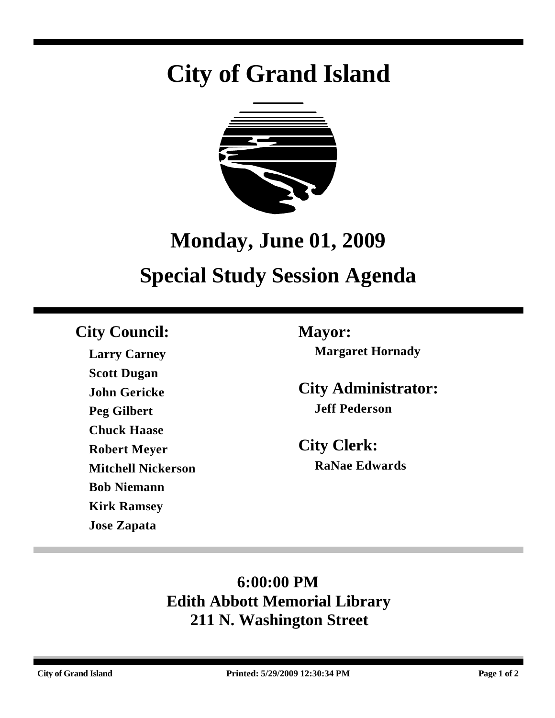# **City of Grand Island**



# **Monday, June 01, 2009 Special Study Session Agenda**

# **City Council: Mayor:**

**Larry Carney Scott Dugan John Gericke Peg Gilbert Chuck Haase Robert Meyer Mitchell Nickerson Bob Niemann Kirk Ramsey Jose Zapata**

**Margaret Hornady**

**City Administrator: Jeff Pederson**

**City Clerk: RaNae Edwards**

# **6:00:00 PM Edith Abbott Memorial Library 211 N. Washington Street**